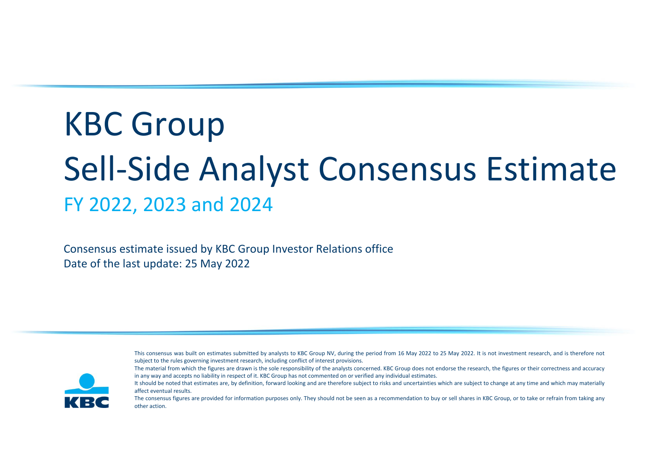# KBC Group Sell-Side Analyst Consensus Estimate FY 2022, 2023 and 2024

Consensus estimate issued by KBC Group Investor Relations office Date of the last update: 25 May 2022







It should be noted that estimates are, by definition, forward looking and are therefore subject to risks and uncertainties which are subject to change at any time and which may materially affect eventual results.

The consensus figures are provided for information purposes only. They should not be seen as a recommendation to buy or sell shares in KBC Group, or to take or refrain from taking any other action.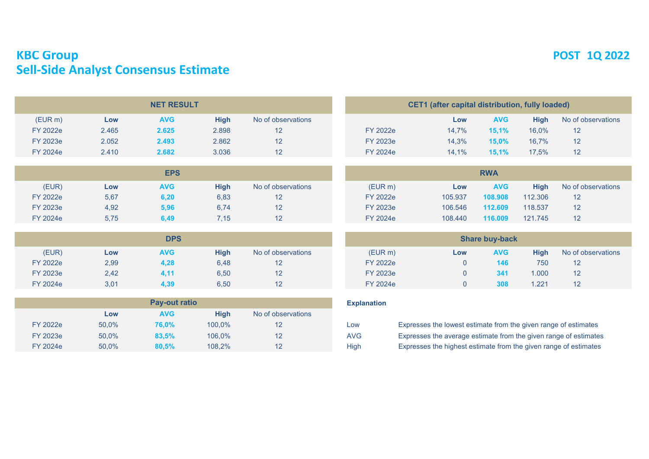# **KBC Group POST 1Q 2022 Sell-Side Analyst Consensus Estimate**

|                 |       | <b>NET RESULT</b> |       |                    |                 | CET1 (after capital distribution, fully loaded) |            |             |       |
|-----------------|-------|-------------------|-------|--------------------|-----------------|-------------------------------------------------|------------|-------------|-------|
| (EURm)          | Low   | <b>AVG</b>        | Hiah  | No of observations |                 | Low                                             | <b>AVG</b> | <b>High</b> | No of |
| <b>FY 2022e</b> | 2.465 | 2.625             | 2.898 |                    | FY 2022e        | 14.7%                                           | 15.1%      | 16.0%       | 12    |
| FY 2023e        | 2.052 | 2.493             | 2.862 |                    | FY 2023e        | 14.3%                                           | $15,0\%$   | 16.7%       | 12    |
| <b>FY 2024e</b> | 2.410 | 2.682             | 3.036 |                    | <b>FY 2024e</b> | 14.1%                                           | 15,1%      | 17,5%       | 12    |
|                 |       |                   |       |                    |                 |                                                 |            |             |       |

|          |      | <b>EPS</b> |      | <b>RWA</b>         |                 |         |            |             |       |  |  |  |  |
|----------|------|------------|------|--------------------|-----------------|---------|------------|-------------|-------|--|--|--|--|
| (EUR)    | Low  | <b>AVG</b> | High | No of observations | (EURm)          | Low     | <b>AVG</b> | <b>High</b> | No of |  |  |  |  |
| FY 2022e | 5,67 | 6,20       | 6,83 |                    | FY 2022e        | 105.937 | 108.908    | 112.306     | 12    |  |  |  |  |
| FY 2023e | 4,92 | 5,96       | 6,74 |                    | FY 2023e        | 106.546 | 112.609    | 118.537     | 12    |  |  |  |  |
| FY 2024e | 5,75 | 6,49       | 7,15 |                    | <b>FY 2024e</b> | 108,440 | 116.009    | 121.745     | 12    |  |  |  |  |

|                 |      | <b>DPS</b> |             | <b>Share buy-back</b> |                 |     |            |             |       |  |  |  |
|-----------------|------|------------|-------------|-----------------------|-----------------|-----|------------|-------------|-------|--|--|--|
| (EUR)           | Low  | <b>AVG</b> | <b>High</b> | No of observations    | (EURm)          | Low | <b>AVG</b> | <b>High</b> | No of |  |  |  |
| <b>FY 2022e</b> | 2,99 | 4,28       | 6,48        |                       | <b>FY 2022e</b> |     | 146        | 750         | 12    |  |  |  |
| FY 2023e        | 2,42 | 4.11       | 6,50        | 12                    | FY 2023e        |     | 341        | 1.000       | 12    |  |  |  |
| FY 2024e        | 3,01 | 4,39       | 6,50        | 12                    | FY 2024e        |     | 308        | 1.221       | 12    |  |  |  |

|                 |       | <b>Pay-out ratio</b> |        |                    | <b>Explanation</b> |                                                                  |
|-----------------|-------|----------------------|--------|--------------------|--------------------|------------------------------------------------------------------|
|                 | LOW   | <b>AVG</b>           | High   | No of observations |                    |                                                                  |
| FY 2022e        | 50.0% | 76.0%                | 100.0% |                    | Low                | Expresses the lowest estimate from the given range of estimates  |
| FY 2023e        | 50.0% | 83.5%                | 106.0% |                    | <b>AVG</b>         | Expresses the average estimate from the given range of estimates |
| <b>FY 2024e</b> | 50.0% | 80,5%                | 108.2% |                    | <b>High</b>        | Expresses the highest estimate from the given range of estimates |

|          | <b>CET1</b> (after capital distribution, fully loaded) |            |             |                    |  |  |  |  |  |  |  |  |  |  |
|----------|--------------------------------------------------------|------------|-------------|--------------------|--|--|--|--|--|--|--|--|--|--|
|          | Low                                                    | <b>AVG</b> | <b>High</b> | No of observations |  |  |  |  |  |  |  |  |  |  |
| FY 2022e | 14.7%                                                  | 15,1%      | 16.0%       | 12                 |  |  |  |  |  |  |  |  |  |  |
| FY 2023e | 14.3%                                                  | 15.0%      | 16.7%       | 12                 |  |  |  |  |  |  |  |  |  |  |
| FY 2024e | 14.1%                                                  | 15.1%      | 17.5%       | 12                 |  |  |  |  |  |  |  |  |  |  |
|          |                                                        |            |             |                    |  |  |  |  |  |  |  |  |  |  |

|          |         | <b>RWA</b> |         |                    |
|----------|---------|------------|---------|--------------------|
| (EURm)   | Low     | <b>AVG</b> | High    | No of observations |
| FY 2022e | 105.937 | 108.908    | 112,306 | 12                 |
| FY 2023e | 106.546 | 112.609    | 118,537 | 12                 |
| FY 2024e | 108.440 | 116,009    | 121.745 | 12                 |

| <b>Share buy-back</b> |        |            |             |                    |  |  |  |  |  |  |  |  |
|-----------------------|--------|------------|-------------|--------------------|--|--|--|--|--|--|--|--|
| (EUR m)               | Low    | <b>AVG</b> | <b>High</b> | No of observations |  |  |  |  |  |  |  |  |
| FY 2022e              |        | 146        | 750         | 12                 |  |  |  |  |  |  |  |  |
| FY 2023e              | $\cup$ | 341        | 1.000       | 12                 |  |  |  |  |  |  |  |  |
| FY 2024e              |        | 308        | 1 2 2 1     | 12                 |  |  |  |  |  |  |  |  |

### **Explanation**

| Expresses the lowest estimate from the given range of estimates  |
|------------------------------------------------------------------|
| Expresses the average estimate from the given range of estimates |
| Expresses the highest estimate from the given range of estimates |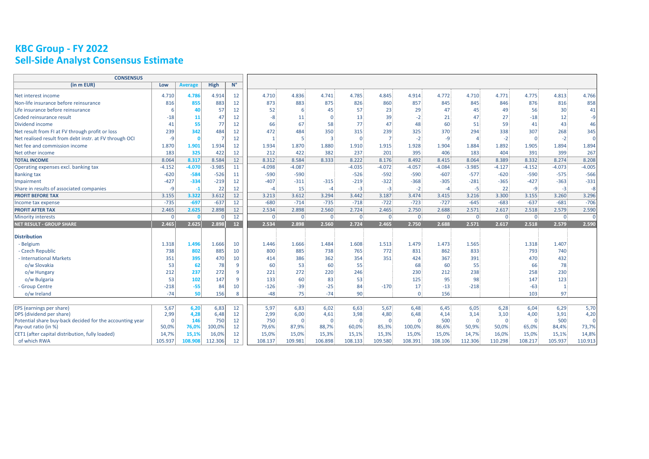# **KBC Group - FY 2022 Sell-Side Analyst Consensus Estimate**

| <b>CONSENSUS</b>                                         |              |                |             |             |              |                |                |              |                |             |                |              |              |                |                |          |
|----------------------------------------------------------|--------------|----------------|-------------|-------------|--------------|----------------|----------------|--------------|----------------|-------------|----------------|--------------|--------------|----------------|----------------|----------|
| (in m EUR)                                               | Low          | <b>Average</b> | <b>High</b> | $N^{\circ}$ |              |                |                |              |                |             |                |              |              |                |                |          |
| Net interest income                                      | 4.710        | 4.786          | 4.914       | 12          | 4.710        | 4.836          | 4.741          | 4.785        | 4.845          | 4.914       | 4.772          | 4.710        | 4.771        | 4.775          | 4.813          | 4.766    |
| Non-life insurance before reinsurance                    | 816          | 855            | 883         | 12          | 873          | 883            | 875            | 826          | 860            | 857         | 845            | 845          | 846          | 876            | 816            | 858      |
| Life insurance before reinsurance                        | -6           | 40             | 57          | 12          | 52           | 6              | 45             | 57           | 23             | 29          | 47             | 45           | 49           | 56             | 30             | 41       |
| Ceded reinsurance result                                 | $-18$        | 11             | 47          | 12          | -8           | 11             | $\Omega$       | 13           | 39             | $-2$        | 21             | 47           | 27           | $-18$          | 12             | $-9$     |
| Dividend income                                          | 41           | 55             | 77          | 12          | 66           | 67             | 58             | 77           | 47             | 48          | 60             | 51           | 59           | 41             | 43             | 46       |
| Net result from FI at FV through profit or loss          | 239          | 342            | 484         | 12          | 472          | 484            | 350            | 315          | 239            | 325         | 370            | 294          | 338          | 307            | 268            | 345      |
| Net realised result from debt instr. at FV through OCI   | $-9$         | $\Omega$       | -7          | 12          | $\mathbf{1}$ |                | $\overline{3}$ | $\Omega$     | 7              | $-2$        | -9             |              | $-2$         | $\mathbf 0$    | $-2$           | $\Omega$ |
| Net fee and commission income                            | 1.870        | 1.901          | 1.934       | 12          | 1.934        | 1.870          | 1.880          | 1.910        | 1.915          | 1.928       | 1.904          | 1.884        | 1.892        | 1.905          | 1.894          | 1.894    |
| Net other income                                         | 183          | 325            | 422         | 12          | 212          | 422            | 382            | 237          | 201            | 395         | 406            | 183          | 404          | 391            | 399            | 267      |
| <b>TOTAL INCOME</b>                                      | 8.064        | 8.317          | 8.584       | 12          | 8.312        | 8.584          | 8.333          | 8.222        | 8.176          | 8.492       | 8.415          | 8.064        | 8.389        | 8.332          | 8.274          | 8.208    |
| Operating expenses excl. banking tax                     | $-4.152$     | $-4.070$       | $-3.985$    | 11          | $-4.098$     | $-4.087$       |                | $-4.035$     | $-4.072$       | $-4.057$    | $-4.084$       | $-3.985$     | $-4.127$     | $-4.152$       | $-4.073$       | $-4.005$ |
| <b>Banking tax</b>                                       | $-620$       | $-584$         | $-526$      | 11          | $-590$       | $-590$         |                | $-526$       | $-592$         | $-590$      | $-607$         | $-577$       | $-620$       | $-590$         | $-575$         | $-566$   |
| Impairment                                               | $-427$       | $-334$         | $-219$      | 12          | $-407$       | $-311$         | $-315$         | $-219$       | $-322$         | $-368$      | $-305$         | $-281$       | $-365$       | $-427$         | $-363$         | $-331$   |
| Share in results of associated companies                 | $-9$         | $-1$           | 22          | 12          | -4           | 15             | $-4$           | $-3$         | $-3$           | $-2$        | $-4$           | $-5$         | 22           | $-9$           | $-3$           | -8       |
| <b>PROFIT BEFORE TAX</b>                                 | 3.155        | 3.322          | 3.612       | 12          | 3.213        | 3.612          | 3.294          | 3.442        | 3.187          | 3.474       | 3.415          | 3.216        | 3.300        | 3.155          | 3.260          | 3.296    |
| Income tax expense                                       | $-735$       | $-697$         | $-637$      | 12          | $-680$       | $-714$         | $-735$         | $-718$       | $-722$         | $-723$      | $-727$         | $-645$       | $-683$       | $-637$         | $-681$         | $-706$   |
| <b>PROFIT AFTER TAX</b>                                  | 2.465        | 2.625          | 2.898       | 12          | 2.534        | 2.898          | 2.560          | 2.724        | 2.465          | 2.750       | 2.688          | 2.571        | 2.617        | 2.518          | 2.579          | 2.590    |
| <b>Minority interests</b>                                | $\mathbf{0}$ | n              | $\Omega$    | 12          | $\mathbf{0}$ | 0 <sup>1</sup> | $\mathbf{0}$   | $\mathbf{0}$ | $\overline{0}$ | 0           | $\overline{0}$ | $\mathbf{0}$ | $\mathbf{0}$ | $\overline{0}$ | $\overline{0}$ | $\Omega$ |
| <b>NET RESULT - GROUP SHARE</b>                          | 2.465        | 2.625          | 2.898       | 12          | 2.534        | 2.898          | 2.560          | 2.724        | 2.465          | 2.750       | 2.688          | 2.571        | 2.617        | 2.518          | 2.579          | 2.590    |
| <b>Distribution</b>                                      |              |                |             |             |              |                |                |              |                |             |                |              |              |                |                |          |
| - Belgium                                                | 1.318        | 1.496          | 1.666       | 10          | 1.446        | 1.666          | 1.484          | 1.608        | 1.513          | 1.479       | 1.473          | 1.565        |              | 1.318          | 1.407          |          |
| - Czech Republic                                         | 738          | 802            | 885         | 10          | 800          | 885            | 738            | 765          | 772            | 831         | 862            | 833          |              | 793            | 740            |          |
| - International Markets                                  | 351          | 395            | 470         | 10          | 414          | 386            | 362            | 354          | 351            | 424         | 367            | 391          |              | 470            | 432            |          |
| o/w Slovakia                                             | 53           | 62             | 78          | 9           | 60           | 53             | 60             | 55           |                | 68          | 60             | 55           |              | 66             | 78             |          |
| o/w Hungary                                              | 212          | 237            | 272         | 9           | 221          | 272            | 220            | 246          |                | 230         | 212            | 238          |              | 258            | 230            |          |
| o/w Bulgaria                                             | 53           | 102            | 147         | 9           | 133          | 60             | 83             | 53           |                | 125         | 95             | 98           |              | 147            | 123            |          |
| - Group Centre                                           | $-218$       | $-55$          | 84          | 10          | $-126$       | $-39$          | $-25$          | 84           | $-170$         | 17          | $-13$          | $-218$       |              | $-63$          | $\mathbf{1}$   |          |
| o/w Ireland                                              | $-74$        | 50             | 156         | 8           | $-48$        | 75             | $-74$          | 90           |                | $\Omega$    | 156            |              |              | 103            | 97             |          |
|                                                          |              |                |             |             |              |                |                |              |                |             |                |              |              |                |                |          |
| EPS (earnings per share)                                 | 5,67         | 6,20           | 6,83        | 12          | 5,97         | 6,83           | 6,02           | 6,63         | 5,67           | 6,48        | 6,45           | 6,05         | 6,28         | 6,04           | 6,29           | 5,70     |
| DPS (dividend per share)                                 | 2,99         | 4,28           | 6,48        | 12          | 2,99         | 6,00           | 4,61           | 3,98         | 4,80           | 6,48        | 4,14           | 3,14         | 3,10         | 4,00           | 3,91           | 4,20     |
| Potential share buy-back decided for the accounting year | $\Omega$     | 146            | 750         | 12          | 750          | $\Omega$       | $\Omega$       | $\mathbf{0}$ | $\mathbf 0$    | $\mathbf 0$ | 500            | $\Omega$     | $\Omega$     | $\overline{0}$ | 500            | $\Omega$ |
| Pay-out ratio (in %)                                     | 50,0%        | 76,0%          | 100,0%      | 12          | 79,6%        | 87,9%          | 88,7%          | 60,0%        | 85,3%          | 100,0%      | 86,6%          | 50,9%        | 50,0%        | 65,0%          | 84,4%          | 73,7%    |
| CET1 (after capital distribution, fully loaded)          | 14,7%        | 15,1%          | 16,0%       | 12          | 15,0%        | 15,0%          | 15,3%          | 15,1%        | 15,3%          | 15,0%       | 15,0%          | 14,7%        | 16,0%        | 15,0%          | 15,1%          | 14,8%    |
| of which RWA                                             | 105.937      | 108.908        | 112.306     | 12          | 108.137      | 109.981        | 106.898        | 108.133      | 109.580        | 108.391     | 108.106        | 112.306      | 110.298      | 108.217        | 105.937        | 110.913  |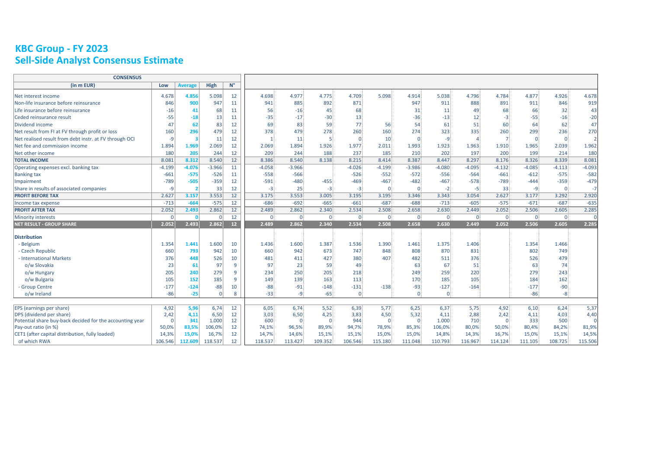# **KBC Group - FY 2023 Sell-Side Analyst Consensus Estimate**

| <b>CONSENSUS</b>                                         |          |                |             |                 |                |             |                |                |             |             |          |          |                |              |                |                |
|----------------------------------------------------------|----------|----------------|-------------|-----------------|----------------|-------------|----------------|----------------|-------------|-------------|----------|----------|----------------|--------------|----------------|----------------|
| (in m EUR)                                               | Low      | <b>Average</b> | <b>High</b> | $N^{\circ}$     |                |             |                |                |             |             |          |          |                |              |                |                |
| Net interest income                                      | 4.678    | 4.856          | 5.098       | 12              | 4.698          | 4.977       | 4.775          | 4.709          | 5.098       | 4.914       | 5.038    | 4.796    | 4.784          | 4.877        | 4.926          | 4.678          |
| Non-life insurance before reinsurance                    | 846      | 900            | 947         | 11              | 941            | 885         | 892            | 871            |             | 947         | 911      | 888      | 891            | 911          | 846            | 919            |
| Life insurance before reinsurance                        | $-16$    | 41             | 68          | 11              | 56             | $-16$       | 45             | 68             |             | 31          | 11       | 49       | 68             | 66           | 32             | 43             |
| Ceded reinsurance result                                 | $-55$    | $-18$          | 13          | 11              | $-35$          | $-17$       | $-30$          | 13             |             | $-36$       | $-13$    | 12       | $-3$           | $-55$        | $-16$          | $-20$          |
| Dividend income                                          | 47       | 62             | 83          | 12              | 69             | 83          | 59             | 77             | 56          | 54          | 61       | 51       | 60             | 64           | 62             | 47             |
| Net result from FI at FV through profit or loss          | 160      | 296            | 479         | 12              | 378            | 479         | 278            | 260            | 160         | 274         | 323      | 335      | 260            | 299          | 236            | 270            |
| Net realised result from debt instr. at FV through OCI   | -9       |                | 11          | 12              |                | 11          | $\overline{5}$ | $\mathbf{0}$   | 10          | $\mathbf 0$ | -9       |          |                | $\mathbf{0}$ | $\overline{0}$ | $\overline{2}$ |
| Net fee and commission income                            | 1.894    | 1.969          | 2.069       | 12              | 2.069          | 1.894       | 1.926          | 1.977          | 2.011       | 1.993       | 1.923    | 1.963    | 1.910          | 1.965        | 2.039          | 1.962          |
| Net other income                                         | 180      | 205            | 244         | 12              | 209            | 244         | 188            | 237            | 185         | 210         | 202      | 197      | 200            | 199          | 214            | 180            |
| <b>TOTAL INCOME</b>                                      | 8.081    | 8.312          | 8.540       | 12              | 8.386          | 8.540       | 8.138          | 8.215          | 8.414       | 8.387       | 8.447    | 8.297    | 8.176          | 8.326        | 8.339          | 8.081          |
| Operating expenses excl. banking tax                     | $-4.199$ | $-4.076$       | $-3.966$    | 11              | $-4.058$       | $-3.966$    |                | $-4.026$       | $-4.199$    | $-3.986$    | $-4.080$ | $-4.095$ | $-4.132$       | $-4.085$     | $-4.113$       | $-4.093$       |
| <b>Banking tax</b>                                       | $-661$   | $-575$         | $-526$      | 11              | $-558$         | $-566$      |                | $-526$         | $-552$      | $-572$      | $-556$   | $-564$   | $-661$         | $-612$       | $-575$         | $-582$         |
| Impairment                                               | $-789$   | $-505$         | $-359$      | 12              | $-591$         | $-480$      | $-455$         | $-469$         | $-467$      | $-482$      | $-467$   | $-578$   | $-789$         | $-444$       | $-359$         | $-479$         |
| Share in results of associated companies                 | $-9$     |                | 33          | 12              | $-3$           | 25          | $-3$           | $-3$           | $\Omega$    | $\Omega$    | $-2$     | -51      | 33             | -9           | $\overline{0}$ | $-7$           |
| <b>PROFIT BEFORE TAX</b>                                 | 2.627    | 3.157          | 3.553       | 12              | 3.175          | 3.553       | 3.005          | 3.195          | 3.195       | 3.346       | 3.343    | 3.054    | 2.627          | 3.177        | 3.292          | 2.920          |
| Income tax expense                                       | $-713$   | $-664$         | $-575$      | 12              | $-686$         | $-692$      | $-665$         | $-661$         | $-687$      | $-688$      | $-713$   | $-605$   | $-575$         | $-671$       | $-687$         | $-635$         |
| <b>PROFIT AFTER TAX</b>                                  | 2.052    | 2.493          | 2.862       | 12              | 2.489          | 2.862       | 2.340          | 2.534          | 2.508       | 2.658       | 2.630    | 2.449    | 2.052          | 2.506        | 2.605          | 2.285          |
| <b>Minority interests</b>                                | $\Omega$ |                |             | 12              | 0 <sup>1</sup> | $\Omega$    | $\overline{0}$ | 0 i            | $\Omega$ :  | $\Omega$    | $\Omega$ | 0 i      | $\overline{0}$ | 0 i          | $\overline{0}$ | $\Omega$       |
| <b>NET RESULT - GROUP SHARE</b>                          | 2.052    | 2.493          | 2.862       | 12 <sup>2</sup> | 2.489          | 2.862       | 2.340          | 2.534          | 2.508       | 2.658       | 2.630    | 2.449    | 2.052          | 2.506        | 2.605          | 2.285          |
| <b>Distribution</b>                                      |          |                |             |                 |                |             |                |                |             |             |          |          |                |              |                |                |
| - Belgium                                                | 1.354    | 1.441          | 1.600       | 10              | 1.436          | 1.600       | 1.387          | 1.536          | 1.390       | 1.461       | 1.375    | 1.406    |                | 1.354        | 1.466          |                |
| - Czech Republic                                         | 660      | 793            | 942         | 10              | 660            | 942         | 673            | 747            | 848         | 808         | 870      | 831      |                | 802          | 749            |                |
| - International Markets                                  | 376      | 448            | 526         | 10              | 481            | 411         | 427            | 380            | 407         | 482         | 511      | 376      |                | 526          | 479            |                |
| o/w Slovakia                                             | 23       | 61             | 97          | 9               | 97             | 23          | 59             | 49             |             | 63          | 67       | 51       |                | 63           | 74             |                |
| o/w Hungary                                              | 205      | 240            | 279         | 9               | 234            | 250         | 205            | 218            |             | 249         | 259      | 220      |                | 279          | 243            |                |
| o/w Bulgaria                                             | 105      | 152            | 185         | 9               | 149            | 139         | 163            | 113            |             | 170         | 185      | 105      |                | 184          | 162            |                |
| - Group Centre                                           | $-177$   | $-124$         | $-88$       | 10              | $-88$          | $-91$       | $-148$         | $-131$         | $-138$      | $-93$       | $-127$   | $-164$   |                | $-177$       | $-90$          |                |
| o/w Ireland                                              | $-86$    | $-25$          | $\Omega$    | 8               | $-33$          | -9          | $-65$          | $\overline{0}$ |             | $\Omega$    | $\Omega$ |          |                | $-86$        | -8             |                |
|                                                          |          |                |             |                 |                |             |                |                |             |             |          |          |                |              |                |                |
| <b>EPS</b> (earnings per share)                          | 4,92     | 5,96           | 6,74        | 12              | 6,05           | 6,74        | 5,52           | 6,39           | 5,77        | 6,25        | 6,37     | 5,75     | 4,92           | 6,10         | 6,24           | 5,37           |
| <b>DPS</b> (dividend per share)                          | 2,42     | 4,11           | 6,50        | 12              | 3,03           | 6,50        | 4,25           | 3,83           | 4,50        | 5,32        | 4,11     | 2,88     | 2,42           | 4,11         | 4,03           | 4,40           |
| Potential share buy-back decided for the accounting year | $\Omega$ | 341            | 1.000       | 12              | 600            | $\mathbf 0$ | $\overline{0}$ | 944            | $\mathbf 0$ | $\mathbf 0$ | 1.000    | 710      | $\mathbf 0$    | 333          | 500            | $\Omega$       |
| Pay-out ratio (in %)                                     | 50,0%    | 83,5%          | 106,0%      | 12              | 74,1%          | 96,5%       | 89,9%          | 94,7%          | 78,9%       | 85,3%       | 106,0%   | 80,0%    | 50,0%          | 80,4%        | 84,2%          | 81,9%          |
| CET1 (after capital distribution, fully loaded)          | 14,3%    | 15,0%          | 16,7%       | 12              | 14,7%          | 14,6%       | 15,1%          | 15,1%          | 15,0%       | 15,0%       | 14,8%    | 14,3%    | 16,7%          | 15,0%        | 15,1%          | 14,5%          |
| of which RWA                                             | 106.546  | 112.609        | 118.537     | 12              | 118.537        | 113.427     | 109.352        | 106.546        | 115.180     | 111.048     | 110.793  | 116.967  | 114.124        | 111.105      | 108.725        | 115.506        |